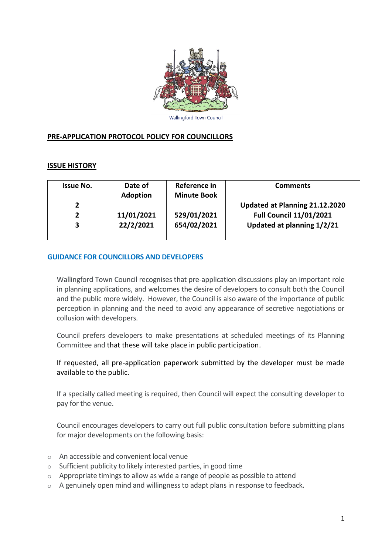

## **PRE-APPLICATION PROTOCOL POLICY FOR COUNCILLORS**

#### **ISSUE HISTORY**

| <b>Issue No.</b> | Date of         | Reference in       | <b>Comments</b>                |
|------------------|-----------------|--------------------|--------------------------------|
|                  | <b>Adoption</b> | <b>Minute Book</b> |                                |
|                  |                 |                    | Updated at Planning 21.12.2020 |
|                  | 11/01/2021      | 529/01/2021        | <b>Full Council 11/01/2021</b> |
|                  | 22/2/2021       | 654/02/2021        | Updated at planning 1/2/21     |
|                  |                 |                    |                                |

#### **GUIDANCE FOR COUNCILLORS AND DEVELOPERS**

Wallingford Town Council recognises that pre-application discussions play an important role in planning applications, and welcomes the desire of developers to consult both the Council and the public more widely. However, the Council is also aware of the importance of public perception in planning and the need to avoid any appearance of secretive negotiations or collusion with developers.

Council prefers developers to make presentations at scheduled meetings of its Planning Committee and that these will take place in public participation.

If requested, all pre-application paperwork submitted by the developer must be made available to the public.

If a specially called meeting is required, then Council will expect the consulting developer to pay for the venue.

Council encourages developers to carry out full public consultation before submitting plans for major developments on the following basis:

- o An accessible and convenient local venue
- o Sufficient publicity to likely interested parties, in good time
- o Appropriate timings to allow as wide a range of people as possible to attend
- $\circ$  A genuinely open mind and willingness to adapt plans in response to feedback.